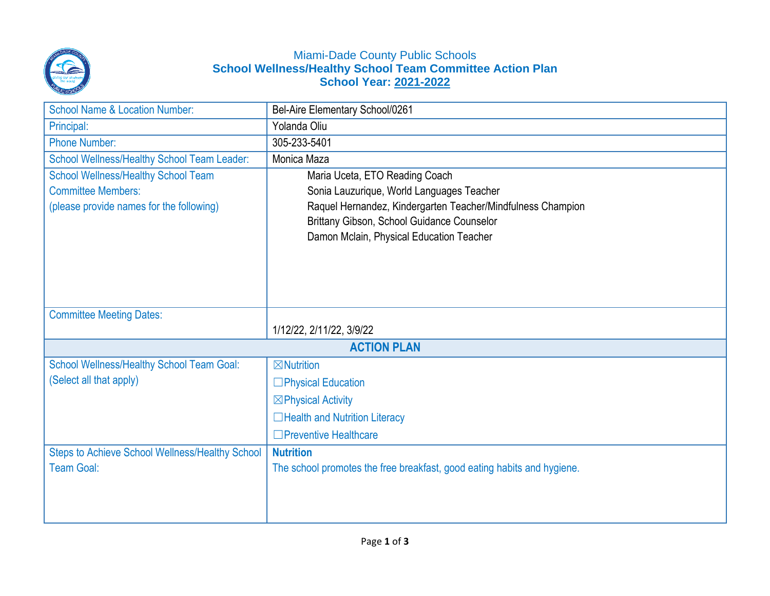

## Miami-Dade County Public Schools **School Wellness/Healthy School Team Committee Action Plan School Year: 2021-2022**

| <b>School Name &amp; Location Number:</b>        | Bel-Aire Elementary School/0261                                         |  |
|--------------------------------------------------|-------------------------------------------------------------------------|--|
| Principal:                                       | Yolanda Oliu                                                            |  |
| <b>Phone Number:</b>                             | 305-233-5401                                                            |  |
| School Wellness/Healthy School Team Leader:      | Monica Maza                                                             |  |
| <b>School Wellness/Healthy School Team</b>       | Maria Uceta, ETO Reading Coach                                          |  |
| <b>Committee Members:</b>                        | Sonia Lauzurique, World Languages Teacher                               |  |
| (please provide names for the following)         | Raquel Hernandez, Kindergarten Teacher/Mindfulness Champion             |  |
|                                                  | Brittany Gibson, School Guidance Counselor                              |  |
|                                                  | Damon Mclain, Physical Education Teacher                                |  |
|                                                  |                                                                         |  |
|                                                  |                                                                         |  |
|                                                  |                                                                         |  |
| <b>Committee Meeting Dates:</b>                  |                                                                         |  |
|                                                  | 1/12/22, 2/11/22, 3/9/22                                                |  |
| <b>ACTION PLAN</b>                               |                                                                         |  |
| <b>School Wellness/Healthy School Team Goal:</b> | $\boxtimes$ Nutrition                                                   |  |
| (Select all that apply)                          | □Physical Education                                                     |  |
|                                                  | $\boxtimes$ Physical Activity                                           |  |
|                                                  | □Health and Nutrition Literacy                                          |  |
|                                                  | $\Box$ Preventive Healthcare                                            |  |
| Steps to Achieve School Wellness/Healthy School  | <b>Nutrition</b>                                                        |  |
| <b>Team Goal:</b>                                | The school promotes the free breakfast, good eating habits and hygiene. |  |
|                                                  |                                                                         |  |
|                                                  |                                                                         |  |
|                                                  |                                                                         |  |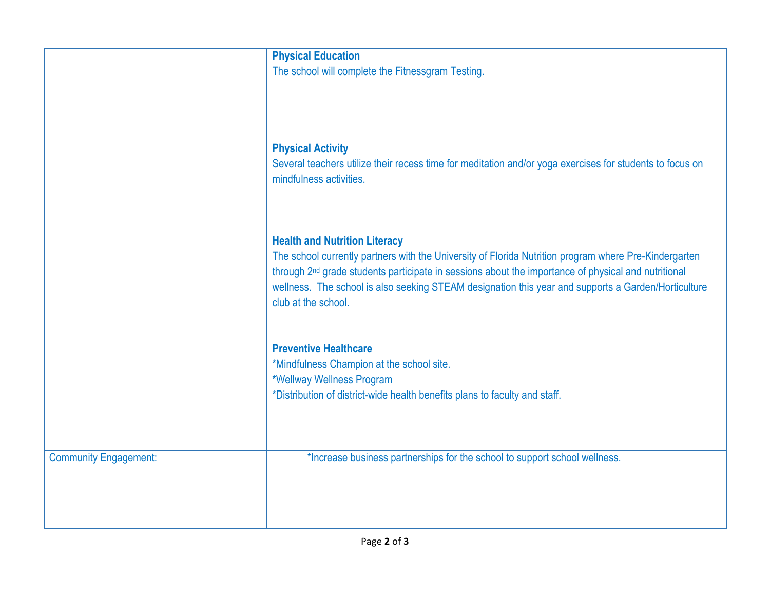|                              | <b>Physical Education</b>                                                                                       |
|------------------------------|-----------------------------------------------------------------------------------------------------------------|
|                              | The school will complete the Fitnessgram Testing.                                                               |
|                              |                                                                                                                 |
|                              |                                                                                                                 |
|                              |                                                                                                                 |
|                              |                                                                                                                 |
|                              | <b>Physical Activity</b>                                                                                        |
|                              | Several teachers utilize their recess time for meditation and/or yoga exercises for students to focus on        |
|                              | mindfulness activities.                                                                                         |
|                              |                                                                                                                 |
|                              |                                                                                                                 |
|                              | <b>Health and Nutrition Literacy</b>                                                                            |
|                              | The school currently partners with the University of Florida Nutrition program where Pre-Kindergarten           |
|                              | through 2 <sup>nd</sup> grade students participate in sessions about the importance of physical and nutritional |
|                              | wellness. The school is also seeking STEAM designation this year and supports a Garden/Horticulture             |
|                              | club at the school.                                                                                             |
|                              |                                                                                                                 |
|                              |                                                                                                                 |
|                              | <b>Preventive Healthcare</b>                                                                                    |
|                              | *Mindfulness Champion at the school site.                                                                       |
|                              | *Wellway Wellness Program                                                                                       |
|                              | *Distribution of district-wide health benefits plans to faculty and staff.                                      |
|                              |                                                                                                                 |
|                              |                                                                                                                 |
|                              |                                                                                                                 |
| <b>Community Engagement:</b> | *Increase business partnerships for the school to support school wellness.                                      |
|                              |                                                                                                                 |
|                              |                                                                                                                 |
|                              |                                                                                                                 |
|                              |                                                                                                                 |